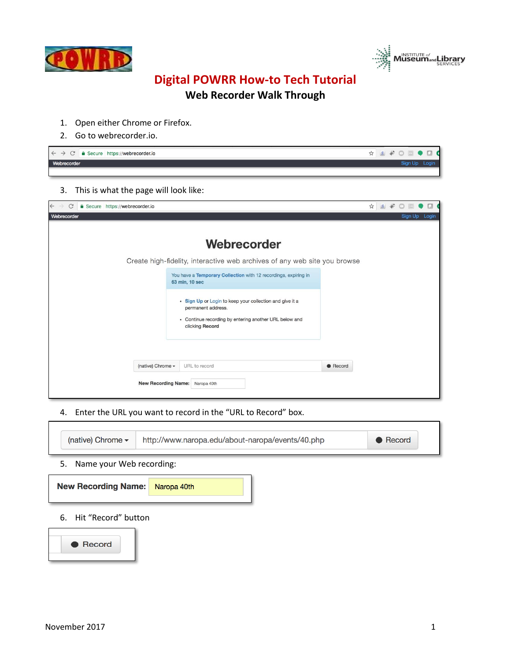



## **Digital POWRR How-to Tech Tutorial**

## **Web Recorder Walk Through**

- 1. Open either Chrome or Firefox.
- 2. Go to webrecorder.io.

| $\epsilon \leftrightarrow \text{ }$ $\epsilon$ $\rightarrow$ $\epsilon$ $\epsilon$ as Secure https://webrecorder.io | ☆ 8 * 0 © ● 0 € |  |
|---------------------------------------------------------------------------------------------------------------------|-----------------|--|
| Webrecorder                                                                                                         | Sign Up L       |  |
|                                                                                                                     |                 |  |

3. This is what the page will look like:

| $\leftarrow$<br>$\mathcal{C}$<br>Secure https://webrecorder.io                                                                                              | ☆<br>$8\not$ | Ω             |  |
|-------------------------------------------------------------------------------------------------------------------------------------------------------------|--------------|---------------|--|
| Webrecorder                                                                                                                                                 |              | Sign Up Login |  |
| Webrecorder<br>Create high-fidelity, interactive web archives of any web site you browse                                                                    |              |               |  |
| You have a Temporary Collection with 12 recordings, expiring in<br>63 min, 10 sec                                                                           |              |               |  |
| • Sign Up or Login to keep your collection and give it a<br>permanent address.<br>• Continue recording by entering another URL below and<br>clicking Record |              |               |  |
| (native) Chrome -<br>URL to record<br>$\bullet$ Record<br>New Recording Name: Naropa 40th                                                                   |              |               |  |
|                                                                                                                                                             |              |               |  |

4. Enter the URL you want to record in the "URL to Record" box.

| (native) Chrome $\blacktriangledown$<br>http://www.naropa.edu/about-naropa/events/40.php<br>• Record |             |  |  |  |  |
|------------------------------------------------------------------------------------------------------|-------------|--|--|--|--|
| Name your Web recording:<br>5.                                                                       |             |  |  |  |  |
| <b>New Recording Name:</b>                                                                           | Naropa 40th |  |  |  |  |
| 6.<br>Hit "Record" button                                                                            |             |  |  |  |  |
| Record                                                                                               |             |  |  |  |  |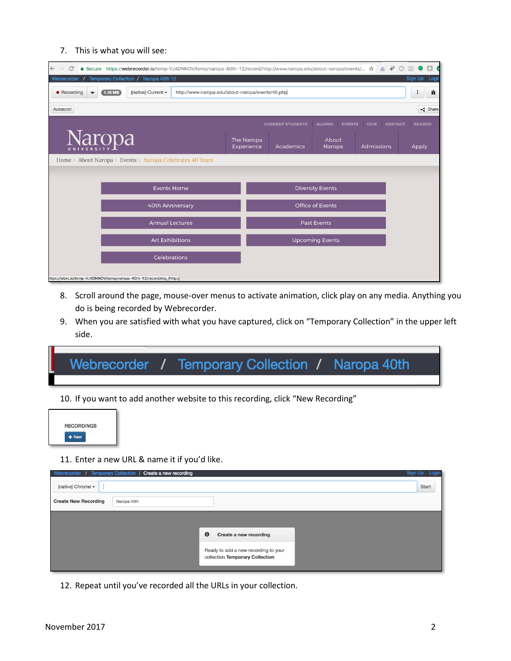## 7. This is what you will see:

| C<br>c<br>$\leftarrow$<br>A Secure https://webrecorder.io/temp-VJ4DNNOV/temp/naropa-40th-12/record/http://www.naropa.edu/about-naropa/events/ ☆<br> 8 |                          |                         |                                |                               |                  |
|-------------------------------------------------------------------------------------------------------------------------------------------------------|--------------------------|-------------------------|--------------------------------|-------------------------------|------------------|
| Temporary Collection / Naropa 40th 12<br>Webrecorder                                                                                                  |                          |                         |                                |                               | Sign Up<br>Logir |
| • Recording<br>(native) Current -<br>$(1.18 \text{ MB})$<br>http://www.naropa.edu/about-naropa/events/40.php                                          |                          |                         |                                |                               | 棄                |
| Autoscroll                                                                                                                                            |                          |                         |                                |                               | $\leq$ Share     |
|                                                                                                                                                       |                          | <b>CURRENT STUDENTS</b> | <b>ALUMNI</b><br><b>EVENTS</b> | <b>CONTACT</b><br><b>GIVE</b> | <b>SEARCH</b>    |
| <b>Naropa</b>                                                                                                                                         | The Naropa<br>Experience | Academics               | About<br>Naropa                | Admissions                    | Apply            |
| Home > About Naropa > Events > Naropa Celebrates 40 Years                                                                                             |                          |                         |                                |                               |                  |
|                                                                                                                                                       |                          |                         |                                |                               |                  |
| <b>Events Home</b>                                                                                                                                    |                          |                         | <b>Diversity Events</b>        |                               |                  |
| <b>40th Anniversary</b>                                                                                                                               |                          |                         | <b>Office of Events</b>        |                               |                  |
| <b>Annual Lectures</b>                                                                                                                                |                          |                         | <b>Past Events</b>             |                               |                  |
| <b>Art Exhibitions</b>                                                                                                                                |                          |                         | <b>Upcoming Events</b>         |                               |                  |
| <b>Celebrations</b>                                                                                                                                   |                          |                         |                                |                               |                  |
| https://wbrc.io/temp-VJ4DNNOV/temp/naropa-40th-12/record/mp_/http:/                                                                                   |                          |                         |                                |                               |                  |

- 8. Scroll around the page, mouse-over menus to activate animation, click play on any media. Anything you do is being recorded by Webrecorder.
- 9. When you are satisfied with what you have captured, click on "Temporary Collection" in the upper left side.

Webrecorder / Temporary Collection / Naropa 40th

10. If you want to add another website to this recording, click "New Recording"



11. Enter a new URL & name it if you'd like.

| Webrecorder / Temporary Collection / Create a new recording |                                      | Logir<br>Siar<br>Jn |
|-------------------------------------------------------------|--------------------------------------|---------------------|
| (native) Chrome -                                           |                                      | Start               |
| <b>Create New Recording</b><br>Naropa 40th                  |                                      |                     |
|                                                             |                                      |                     |
|                                                             | A<br>Create a new recording          |                     |
|                                                             |                                      |                     |
|                                                             | Ready to add a new recording to your |                     |
|                                                             | collection Temporary Collection      |                     |
|                                                             |                                      |                     |

12. Repeat until you've recorded all the URLs in your collection.